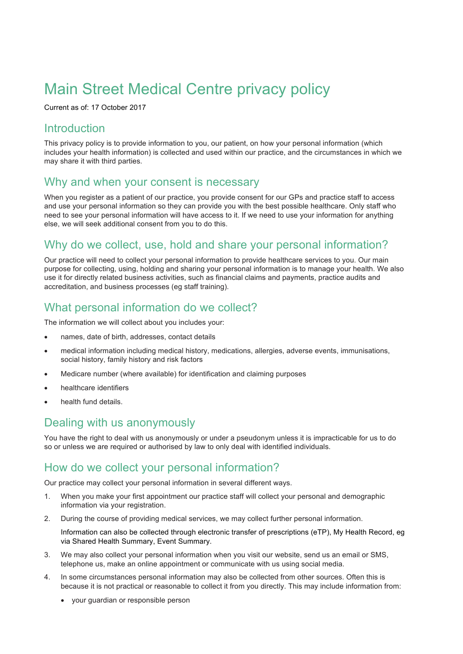# Main Street Medical Centre privacy policy

Current as of: 17 October 2017

#### Introduction

This privacy policy is to provide information to you, our patient, on how your personal information (which includes your health information) is collected and used within our practice, and the circumstances in which we may share it with third parties.

#### Why and when your consent is necessary

When you register as a patient of our practice, you provide consent for our GPs and practice staff to access and use your personal information so they can provide you with the best possible healthcare. Only staff who need to see your personal information will have access to it. If we need to use your information for anything else, we will seek additional consent from you to do this.

## Why do we collect, use, hold and share your personal information?

Our practice will need to collect your personal information to provide healthcare services to you. Our main purpose for collecting, using, holding and sharing your personal information is to manage your health. We also use it for directly related business activities, such as financial claims and payments, practice audits and accreditation, and business processes (eg staff training).

## What personal information do we collect?

The information we will collect about you includes your:

- names, date of birth, addresses, contact details
- medical information including medical history, medications, allergies, adverse events, immunisations, social history, family history and risk factors
- Medicare number (where available) for identification and claiming purposes
- healthcare identifiers
- health fund details.

#### Dealing with us anonymously

You have the right to deal with us anonymously or under a pseudonym unless it is impracticable for us to do so or unless we are required or authorised by law to only deal with identified individuals.

## How do we collect your personal information?

Our practice may collect your personal information in several different ways.

- 1. When you make your first appointment our practice staff will collect your personal and demographic information via your registration.
- 2. During the course of providing medical services, we may collect further personal information.

Information can also be collected through electronic transfer of prescriptions (eTP), My Health Record, eg via Shared Health Summary, Event Summary.

- 3. We may also collect your personal information when you visit our website, send us an email or SMS, telephone us, make an online appointment or communicate with us using social media.
- 4. In some circumstances personal information may also be collected from other sources. Often this is because it is not practical or reasonable to collect it from you directly. This may include information from:
	- your guardian or responsible person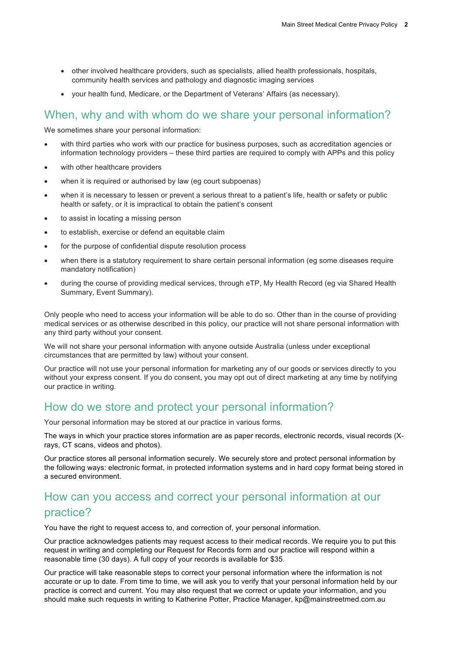- other involved healthcare providers, such as specialists, allied health professionals, hospitals, community health services and pathology and diagnostic imaging services
- your health fund, Medicare, or the Department of Veterans' Affairs (as necessary).

#### When, why and with whom do we share your personal information?

We sometimes share your personal information:

- with third parties who work with our practice for business purposes, such as accreditation agencies or information technology providers – these third parties are required to comply with APPs and this policy
- with other healthcare providers
- when it is required or authorised by law (eg court subpoenas)
- when it is necessary to lessen or prevent a serious threat to a patient's life, health or safety or public health or safety, or it is impractical to obtain the patient's consent
- to assist in locating a missing person
- to establish, exercise or defend an equitable claim
- for the purpose of confidential dispute resolution process
- when there is a statutory requirement to share certain personal information (eg some diseases require mandatory notification)
- during the course of providing medical services, through eTP, My Health Record (eg via Shared Health Summary, Event Summary).

Only people who need to access your information will be able to do so. Other than in the course of providing medical services or as otherwise described in this policy, our practice will not share personal information with any third party without your consent.

We will not share your personal information with anyone outside Australia (unless under exceptional circumstances that are permitted by law) without your consent.

Our practice will not use your personal information for marketing any of our goods or services directly to you without your express consent. If you do consent, you may opt out of direct marketing at any time by notifying our practice in writing.

#### How do we store and protect your personal information?

Your personal information may be stored at our practice in various forms.

The ways in which your practice stores information are as paper records, electronic records, visual records (Xrays, CT scans, videos and photos).

Our practice stores all personal information securely. We securely store and protect personal information by the following ways: electronic format, in protected information systems and in hard copy format being stored in a secured environment.

# How can you access and correct your personal information at our

#### practice?

You have the right to request access to, and correction of, your personal information.

Our practice acknowledges patients may request access to their medical records. We require you to put this request in writing and completing our Request for Records form and our practice will respond within a reasonable time (30 days). A full copy of your records is available for \$35.

Our practice will take reasonable steps to correct your personal information where the information is not accurate or up to date. From time to time, we will ask you to verify that your personal information held by our practice is correct and current. You may also request that we correct or update your information, and you should make such requests in writing to Katherine Potter, Practice Manager, kp@mainstreetmed.com.au